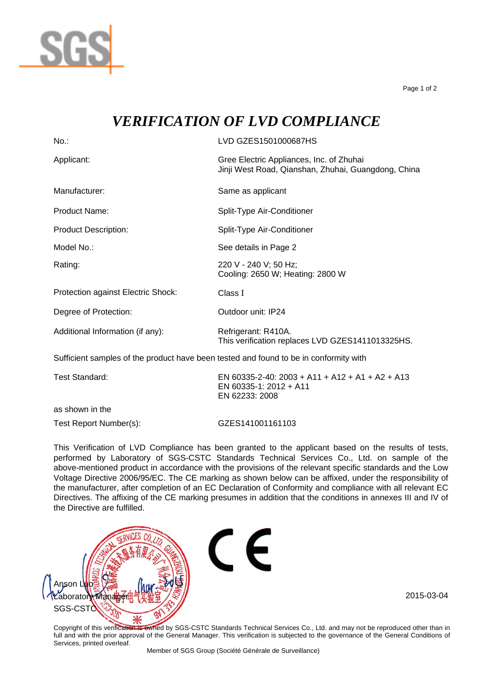

Page 1 of 2

## *VERIFICATION OF LVD COMPLIANCE*

| $No.$ :                                                                               | LVD GZES1501000687HS                                                                            |
|---------------------------------------------------------------------------------------|-------------------------------------------------------------------------------------------------|
| Applicant:                                                                            | Gree Electric Appliances, Inc. of Zhuhai<br>Jinji West Road, Qianshan, Zhuhai, Guangdong, China |
| Manufacturer:                                                                         | Same as applicant                                                                               |
| <b>Product Name:</b>                                                                  | Split-Type Air-Conditioner                                                                      |
| <b>Product Description:</b>                                                           | Split-Type Air-Conditioner                                                                      |
| Model No.:                                                                            | See details in Page 2                                                                           |
| Rating:                                                                               | 220 V - 240 V; 50 Hz;<br>Cooling: 2650 W; Heating: 2800 W                                       |
| Protection against Electric Shock:                                                    | Class I                                                                                         |
| Degree of Protection:                                                                 | Outdoor unit: IP24                                                                              |
| Additional Information (if any):                                                      | Refrigerant: R410A.<br>This verification replaces LVD GZES1411013325HS.                         |
| Sufficient samples of the product have been tested and found to be in conformity with |                                                                                                 |
| <b>Test Standard:</b>                                                                 | EN 60335-2-40: 2003 + A11 + A12 + A1 + A2 + A13<br>EN 60335-1: 2012 + A11<br>EN 62233: 2008     |

as shown in the Test Report Number(s): GZES141001161103

This Verification of LVD Compliance has been granted to the applicant based on the results of tests, performed by Laboratory of SGS-CSTC Standards Technical Services Co., Ltd. on sample of the above-mentioned product in accordance with the provisions of the relevant specific standards and the Low Voltage Directive 2006/95/EC. The CE marking as shown below can be affixed, under the responsibility of the manufacturer, after completion of an EC Declaration of Conformity and compliance with all relevant EC Directives. The affixing of the CE marking presumes in addition that the conditions in annexes III and IV of the Directive are fulfilled.



Copyright of this verification is ewhed by SGS-CSTC Standards Technical Services Co., Ltd. and may not be reproduced other than in full and with the prior approval of the General Manager. This verification is subjected to the governance of the General Conditions of Services, printed overleaf.